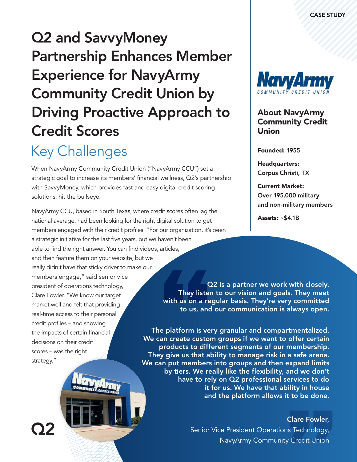# Q2 and SavvyMoney Partnership Enhances Member Experience for NavyArmy Community Credit Union by Driving Proactive Approach to Credit Scores

### Key Challenges

When [NavyArmy Community Credit Union](https://www.navyarmyccu.com/) ("NavyArmy CCU") set a strategic goal to increase its members' financial wellness, Q2's partnership with SavvyMoney, which provides fast and easy digital credit scoring solutions, hit the bullseye.

NavyArmy CCU, based in South Texas, where credit scores often lag the national average, had been looking for the right digital solution to get members engaged with their credit profiles. "For our organization, it's been a strategic initiative for the last five years, but we haven't been able to find the right answer. You can find videos, articles, and then feature them on your website, but we really didn't have that sticky driver to make our

members engage," said senior vice president of operations technology, Clare Fowler. "We know our target market well and felt that providing real-time access to their personal credit profiles – and showing the impacts of certain financial decisions on their credit scores – was the right strategy."

02

Q2 is a partner we work with closely. They listen to our vision and goals. They meet with us on a regular basis. They're very committed to us, and our communication is always open.

The platform is very granular and compartmentalized. We can create custom groups if we want to offer certain products to different segments of our membership. They give us that ability to manage risk in a safe arena. We can put members into groups and then expand limits by tiers. We really like the flexibility, and we don't have to rely on Q2 professional services to do it for us. We have that ability in house and the platform allows it to be done.

### Clare Fowler,

Senior Vice President Operations Technology, NavyArmy Community Credit Union



### About NavyArmy Community Credit Union

Founded: 1955

Headquarters: Corpus Christi, TX

Current Market: Over 195,000 military and non-military members

Assets: ~\$4.1B